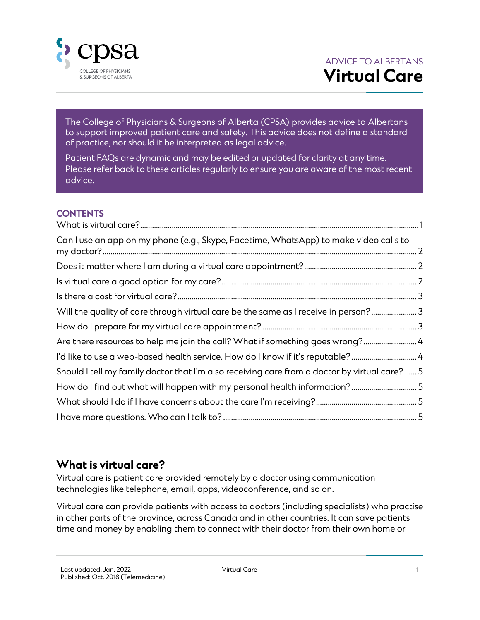

The College of Physicians & Surgeons of Alberta (CPSA) provides advice to Albertans to support improved patient care and safety. This advice does not define a standard of practice, nor should it be interpreted as legal advice.

Patient FAQs are dynamic and may be edited or updated for clarity at any time. Please refer back to these articles regularly to ensure you are aware of the most recent advice.

#### **CONTENTS**

| Can I use an app on my phone (e.g., Skype, Facetime, WhatsApp) to make video calls to         |  |
|-----------------------------------------------------------------------------------------------|--|
|                                                                                               |  |
|                                                                                               |  |
|                                                                                               |  |
| Will the quality of care through virtual care be the same as I receive in person? 3           |  |
|                                                                                               |  |
| Are there resources to help me join the call? What if something goes wrong? 4                 |  |
| I'd like to use a web-based health service. How do I know if it's reputable?                  |  |
| Should I tell my family doctor that I'm also receiving care from a doctor by virtual care?  5 |  |
| How do I find out what will happen with my personal health information?5                      |  |
|                                                                                               |  |
|                                                                                               |  |

#### <span id="page-0-0"></span>**What is virtual care?**

Virtual care is patient care provided remotely by a doctor using communication technologies like telephone, email, apps, videoconference, and so on.

Virtual care can provide patients with access to doctors (including specialists) who practise in other parts of the province, across Canada and in other countries. It can save patients time and money by enabling them to connect with their doctor from their own home or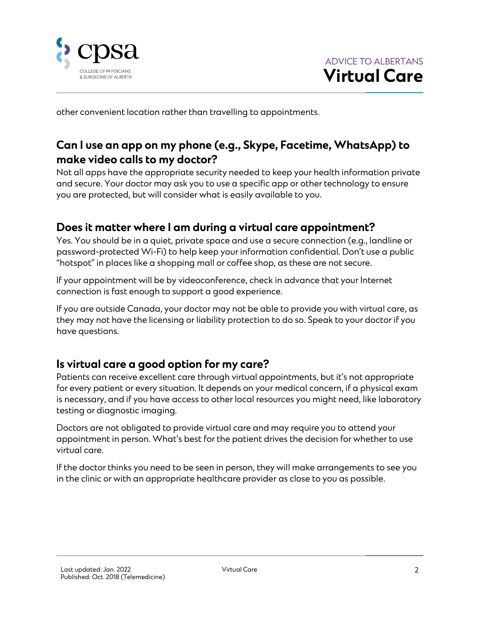

other convenient location rather than travelling to appointments.

# <span id="page-1-0"></span>**Can I use an app on my phone (e.g., Skype, Facetime, WhatsApp) to make video calls to my doctor?**

Not all apps have the appropriate security needed to keep your health information private and secure. Your doctor may ask you to use a specific app or other technology to ensure you are protected, but will consider what is easily available to you.

### <span id="page-1-1"></span>**Does it matter where I am during a virtual care appointment?**

Yes. You should be in a quiet, private space and use a secure connection (e.g., landline or password-protected Wi-Fi) to help keep your information confidential. Don't use a public "hotspot" in places like a shopping mall or coffee shop, as these are not secure.

If your appointment will be by videoconference, check in advance that your Internet connection is fast enough to support a good experience.

If you are outside Canada, your doctor may not be able to provide you with virtual care, as they may not have the licensing or liability protection to do so. Speak to your doctor if you have questions.

#### <span id="page-1-2"></span>**Is virtual care a good option for my care?**

Patients can receive excellent care through virtual appointments, but it's not appropriate for every patient or every situation. It depends on your medical concern, if a physical exam is necessary, and if you have access to other local resources you might need, like laboratory testing or diagnostic imaging.

Doctors are not obligated to provide virtual care and may require you to attend your appointment in person. What's best for the patient drives the decision for whether to use virtual care.

If the doctor thinks you need to be seen in person, they will make arrangements to see you in the clinic or with an appropriate healthcare provider as close to you as possible.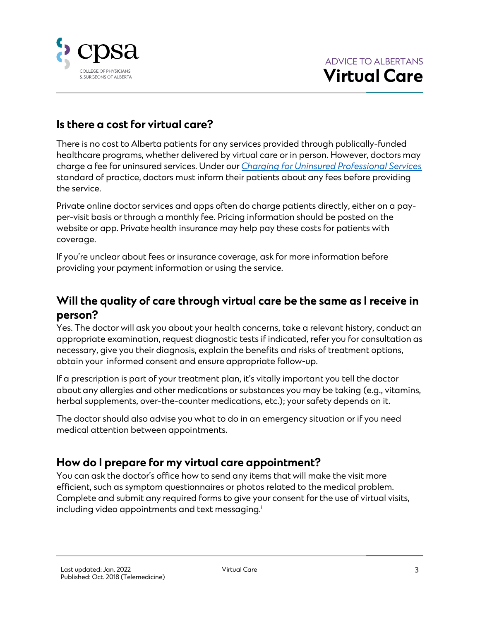

## <span id="page-2-0"></span>**Is there a cost for virtual care?**

There is no cost to Alberta patients for any services provided through publically-funded healthcare programs, whether delivered by virtual care or in person. However, doctors may charge a fee for uninsured services. Under our *[Charging for Uninsured Professional Services](http://www.cpsa.ca/standardspractice/charging-for-uninsured-professional-services/)* standard of practice, doctors must inform their patients about any fees before providing the service.

Private online doctor services and apps often do charge patients directly, either on a payper-visit basis or through a monthly fee. Pricing information should be posted on the website or app. Private health insurance may help pay these costs for patients with coverage.

If you're unclear about fees or insurance coverage, ask for more information before providing your payment information or using the service.

## <span id="page-2-1"></span>**Will the quality of care through virtual care be the same as I receive in person?**

Yes. The doctor will ask you about your health concerns, take a relevant history, conduct an appropriate examination, request diagnostic tests if indicated, refer you for consultation as necessary, give you their diagnosis, explain the benefits and risks of treatment options, obtain your informed consent and ensure appropriate follow-up.

If a prescription is part of your treatment plan, it's vitally important you tell the doctor about any allergies and other medications or substances you may be taking (e.g., vitamins, herbal supplements, over-the-counter medications, etc.); your safety depends on it.

The doctor should also advise you what to do in an emergency situation or if you need medical attention between appointments.

#### <span id="page-2-2"></span>**How do I prepare for my virtual care appointment?**

You can ask the doctor's office how to send any items that will make the visit more efficient, such as symptom questionnaires or photos related to the medical problem. Complete and submit any required forms to give your consent for the use of virtual visits, including video appointments and text messaging.<sup>i</sup>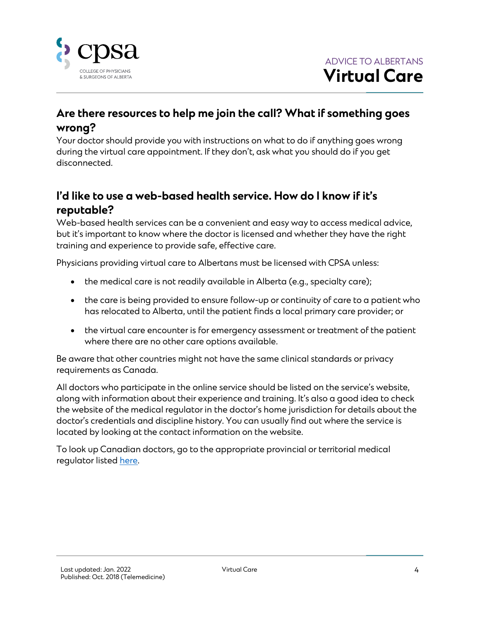

# <span id="page-3-0"></span>**Are there resources to help me join the call? What if something goes wrong?**

Your doctor should provide you with instructions on what to do if anything goes wrong during the virtual care appointment. If they don't, ask what you should do if you get disconnected.

# <span id="page-3-1"></span>**I'd like to use a web-based health service. How do I know if it's reputable?**

Web-based health services can be a convenient and easy way to access medical advice, but it's important to know where the doctor is licensed and whether they have the right training and experience to provide safe, effective care.

Physicians providing virtual care to Albertans must be licensed with CPSA unless:

- the medical care is not readily available in Alberta (e.g., specialty care);
- the care is being provided to ensure follow-up or continuity of care to a patient who has relocated to Alberta, until the patient finds a local primary care provider; or
- the virtual care encounter is for emergency assessment or treatment of the patient where there are no other care options available.

Be aware that other countries might not have the same clinical standards or privacy requirements as Canada.

All doctors who participate in the online service should be listed on the service's website, along with information about their experience and training. It's also a good idea to check the website of the medical regulator in the doctor's home jurisdiction for details about the doctor's credentials and discipline history. You can usually find out where the service is located by looking at the contact information on the website.

To look up Canadian doctors, go to the appropriate provincial or territorial medical regulator liste[d here.](https://fmrac.ca/members/)